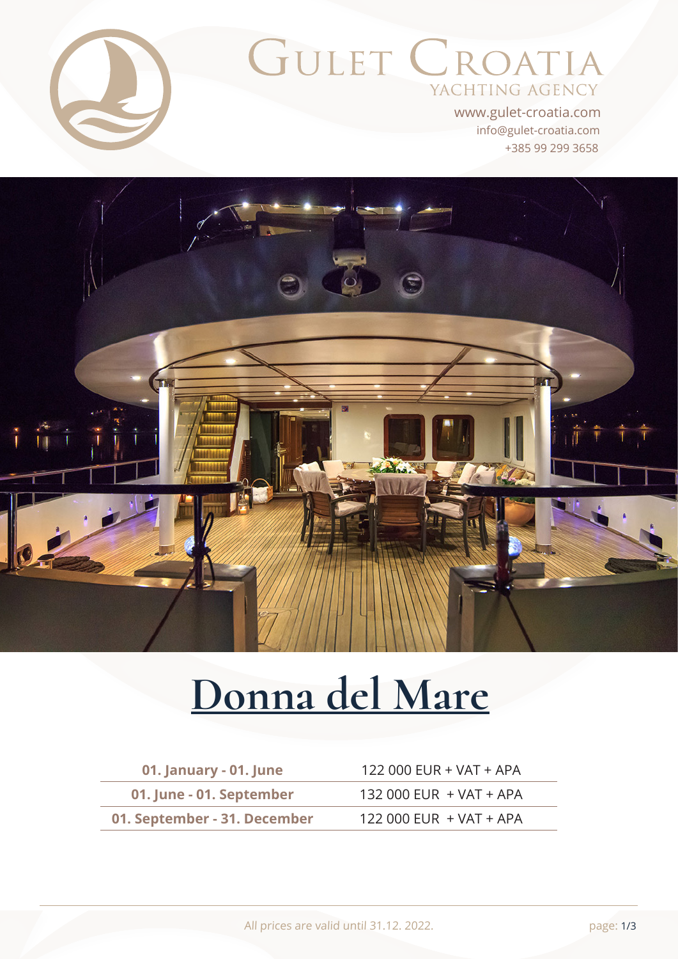

# GULET CROATIA YACHTING AGENCY

+385 99 299 3658 info@gulet-croatia.com www.gulet-croatia.com



# **[Donna del Mare](https://www.gulet-croatia.com/super-yacht-cruise-croatia/my-donna-del-mare)**

| 01. January - 01. June       | 122 000 EUR + VAT + APA |
|------------------------------|-------------------------|
| 01. June - 01. September     | 132 000 EUR + VAT + APA |
| 01. September - 31. December | 122 000 EUR + VAT + APA |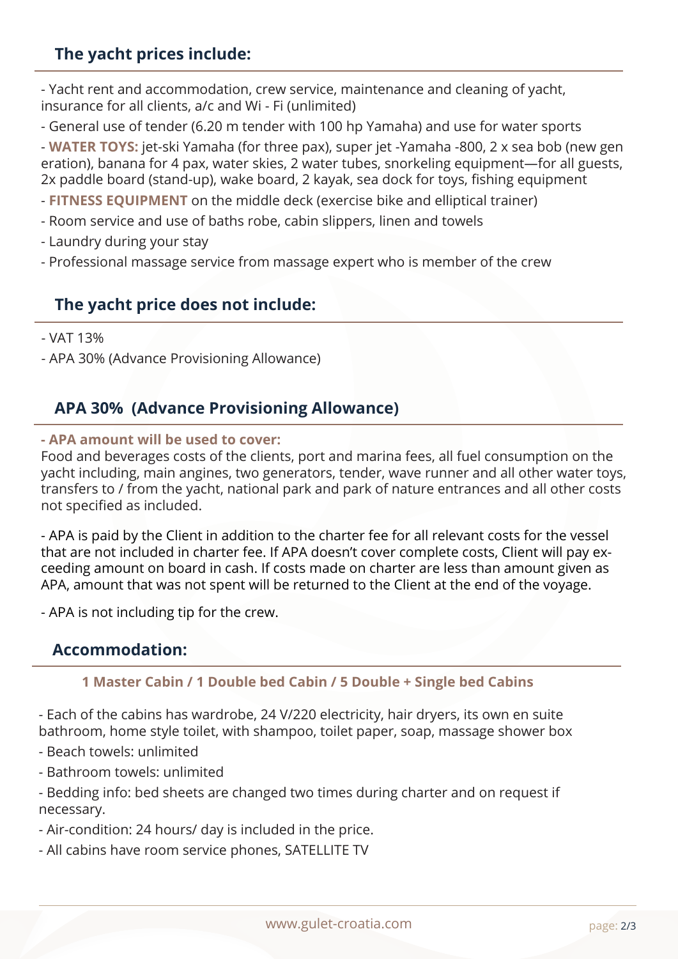## **The yacht prices include:**

- Yacht rent and accommodation, crew service, maintenance and cleaning of yacht, insurance for all clients, a/c and Wi - Fi (unlimited)

- General use of tender (6.20 m tender with 100 hp Yamaha) and use for water sports

- **WATER TOYS:** jet-ski Yamaha (for three pax), super jet -Yamaha -800, 2 x sea bob (new gen eration), banana for 4 pax, water skies, 2 water tubes, snorkeling equipment—for all guests, 2x paddle board (stand-up), wake board, 2 kayak, sea dock for toys, fishing equipment

- **FITNESS EQUIPMENT** on the middle deck (exercise bike and elliptical trainer)

- Room service and use of baths robe, cabin slippers, linen and towels
- Laundry during your stay
- Professional massage service from massage expert who is member of the crew

### **The yacht price does not include:**

- VAT 13%
- APA 30% (Advance Provisioning Allowance)

#### **APA 30% (Advance Provisioning Allowance)**

#### **- APA amount will be used to cover:**

Food and beverages costs of the clients, port and marina fees, all fuel consumption on the yacht including, main angines, two generators, tender, wave runner and all other water toys, transfers to / from the yacht, national park and park of nature entrances and all other costs not specified as included.

- APA is paid by the Client in addition to the charter fee for all relevant costs for the vessel that are not included in charter fee. If APA doesn't cover complete costs, Client will pay exceeding amount on board in cash. If costs made on charter are less than amount given as APA, amount that was not spent will be returned to the Client at the end of the voyage.

- APA is not including tip for the crew.

#### **Accommodation:**

#### **1 Master Cabin / 1 Double bed Cabin / 5 Double + Single bed Cabins**

- Each of the cabins has wardrobe, 24 V/220 electricity, hair dryers, its own en suite bathroom, home style toilet, with shampoo, toilet paper, soap, massage shower box

- Beach towels: unlimited

- Bathroom towels: unlimited

- Bedding info: bed sheets are changed two times during charter and on request if necessary.

- Air-condition: 24 hours/ day is included in the price.

- All cabins have room service phones, SATELLITE TV